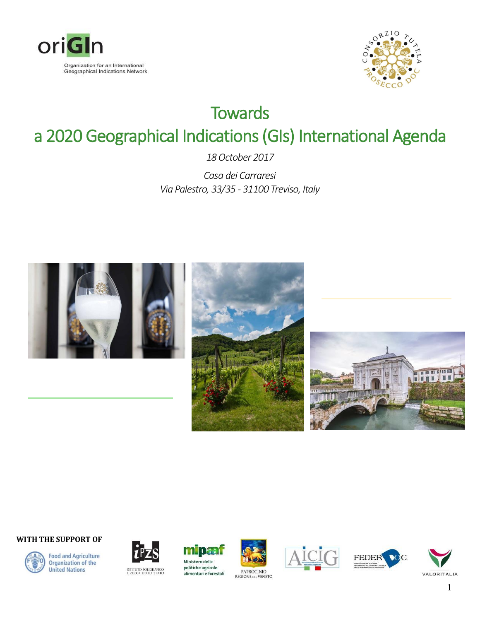



# **Towards** a 2020 Geographical Indications (GIs) International Agenda

*18 October 2017*

*Casa dei Carraresi Via Palestro, 33/35 - 31100 Treviso, Italy*







#### **WITH THE SUPPORT OF**



**Food and Agriculture Organization of the United Nations** 



ISTITUTO POLIGRAFICO<br>E ZECCA DELLO STATO









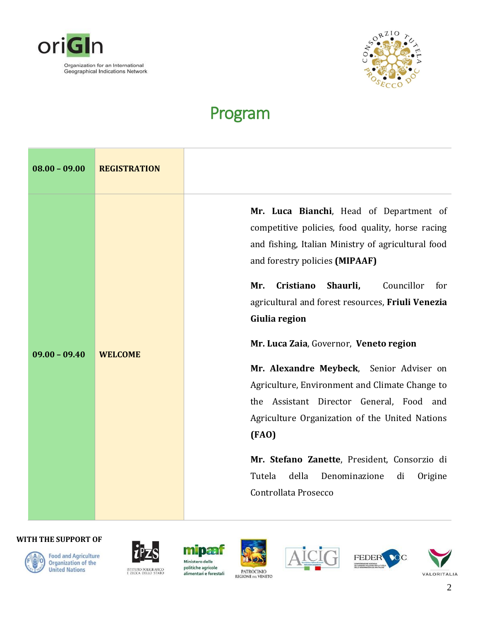



## Program

| $08.00 - 09.00$ | <b>REGISTRATION</b> |                                                                                                                                                                                                                                                                                                                                                                                                                                                                                                                                                                                                                                                                                            |
|-----------------|---------------------|--------------------------------------------------------------------------------------------------------------------------------------------------------------------------------------------------------------------------------------------------------------------------------------------------------------------------------------------------------------------------------------------------------------------------------------------------------------------------------------------------------------------------------------------------------------------------------------------------------------------------------------------------------------------------------------------|
| $09.00 - 09.40$ | <b>WELCOME</b>      | Mr. Luca Bianchi, Head of Department of<br>competitive policies, food quality, horse racing<br>and fishing, Italian Ministry of agricultural food<br>and forestry policies (MIPAAF)<br>Shaurli,<br>Mr.<br>Cristiano<br>Councillor<br>for<br>agricultural and forest resources, Friuli Venezia<br>Giulia region<br>Mr. Luca Zaia, Governor, Veneto region<br>Mr. Alexandre Meybeck, Senior Adviser on<br>Agriculture, Environment and Climate Change to<br>the Assistant Director General, Food and<br>Agriculture Organization of the United Nations<br>(FAO)<br>Mr. Stefano Zanette, President, Consorzio di<br>Tutela<br>della<br>Denominazione<br>di<br>Origine<br>Controllata Prosecco |

### **WITH THE SUPPORT OF**



Food and Agriculture<br>Organization of the **United Nations** 



ISTITUTO POLIGRAFICO<br>E ZECCA DELLO STATO



politiche agricole alimentari e forestali







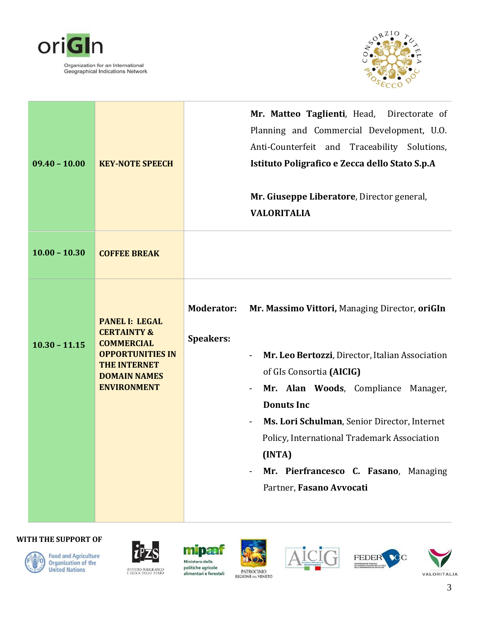



| $09.40 - 10.00$ | <b>KEY-NOTE SPEECH</b>                                                                                                                                              | Mr. Matteo Taglienti, Head, Directorate of<br>Planning and Commercial Development, U.O.<br>Anti-Counterfeit and Traceability Solutions,<br>Istituto Poligrafico e Zecca dello Stato S.p.A<br>Mr. Giuseppe Liberatore, Director general,<br><b>VALORITALIA</b>                                                                                                                                                    |
|-----------------|---------------------------------------------------------------------------------------------------------------------------------------------------------------------|------------------------------------------------------------------------------------------------------------------------------------------------------------------------------------------------------------------------------------------------------------------------------------------------------------------------------------------------------------------------------------------------------------------|
| $10.00 - 10.30$ | <b>COFFEE BREAK</b>                                                                                                                                                 |                                                                                                                                                                                                                                                                                                                                                                                                                  |
| $10.30 - 11.15$ | <b>PANEL I: LEGAL</b><br><b>CERTAINTY &amp;</b><br><b>COMMERCIAL</b><br><b>OPPORTUNITIES IN</b><br><b>THE INTERNET</b><br><b>DOMAIN NAMES</b><br><b>ENVIRONMENT</b> | <b>Moderator:</b><br>Mr. Massimo Vittori, Managing Director, oriGIn<br><b>Speakers:</b><br>Mr. Leo Bertozzi, Director, Italian Association<br>of GIs Consortia (AICIG)<br>Mr. Alan Woods, Compliance Manager,<br><b>Donuts Inc</b><br>Ms. Lori Schulman, Senior Director, Internet<br>Policy, International Trademark Association<br>(INTA)<br>Mr. Pierfrancesco C. Fasano, Managing<br>Partner, Fasano Avvocati |









alimentari e forestali











3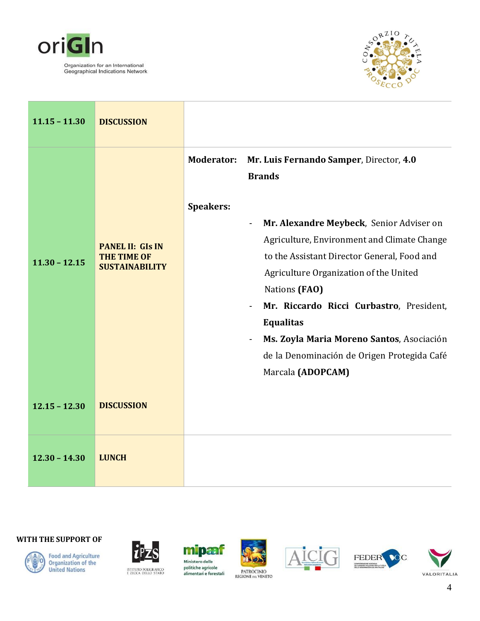



| $11.15 - 11.30$ | <b>DISCUSSION</b>                                                      |                                                                                                                                                                                                                                                                                                                                                                                                                                                                                                                                                 |
|-----------------|------------------------------------------------------------------------|-------------------------------------------------------------------------------------------------------------------------------------------------------------------------------------------------------------------------------------------------------------------------------------------------------------------------------------------------------------------------------------------------------------------------------------------------------------------------------------------------------------------------------------------------|
| $11.30 - 12.15$ | <b>PANEL II: GIS IN</b><br><b>THE TIME OF</b><br><b>SUSTAINABILITY</b> | Mr. Luis Fernando Samper, Director, 4.0<br><b>Moderator:</b><br><b>Brands</b><br><b>Speakers:</b><br>Mr. Alexandre Meybeck, Senior Adviser on<br>$\overline{\phantom{a}}$<br>Agriculture, Environment and Climate Change<br>to the Assistant Director General, Food and<br>Agriculture Organization of the United<br>Nations (FAO)<br>Mr. Riccardo Ricci Curbastro, President,<br><b>Equalitas</b><br>Ms. Zoyla Maria Moreno Santos, Asociación<br>$\overline{\phantom{a}}$<br>de la Denominación de Origen Protegida Café<br>Marcala (ADOPCAM) |
| $12.15 - 12.30$ | <b>DISCUSSION</b>                                                      |                                                                                                                                                                                                                                                                                                                                                                                                                                                                                                                                                 |
| $12.30 - 14.30$ | <b>LUNCH</b>                                                           |                                                                                                                                                                                                                                                                                                                                                                                                                                                                                                                                                 |



**Food and Agriculture**<br>Organization of the **United Nations** 



miparf Ministero delle politiche agricole ISTITUTO POLIGRAFICO<br>E ZECCA DELLO STATO alimentari e forestali









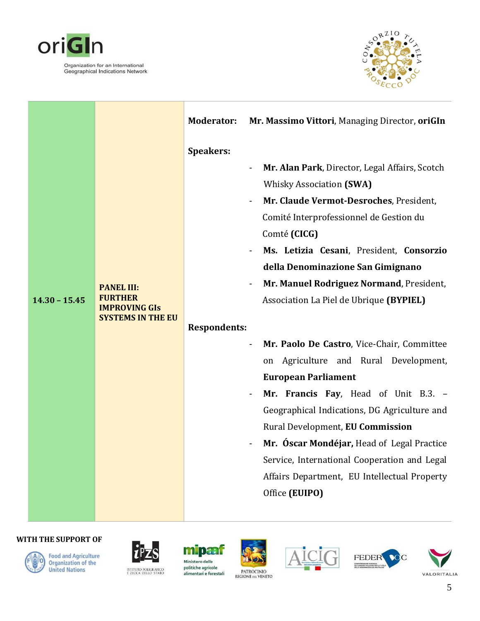



|                 |                                                                                         | <b>Moderator:</b>   | Mr. Massimo Vittori, Managing Director, oriGIn                                                                                                                                                                                                                                                                                                                                                                   |
|-----------------|-----------------------------------------------------------------------------------------|---------------------|------------------------------------------------------------------------------------------------------------------------------------------------------------------------------------------------------------------------------------------------------------------------------------------------------------------------------------------------------------------------------------------------------------------|
|                 |                                                                                         | <b>Speakers:</b>    | Mr. Alan Park, Director, Legal Affairs, Scotch<br><b>Whisky Association (SWA)</b><br>Mr. Claude Vermot-Desroches, President,<br>Comité Interprofessionnel de Gestion du<br>Comté (CICG)<br>Ms. Letizia Cesani, President, Consorzio                                                                                                                                                                              |
| $14.30 - 15.45$ | <b>PANEL III:</b><br><b>FURTHER</b><br><b>IMPROVING GIS</b><br><b>SYSTEMS IN THE EU</b> | <b>Respondents:</b> | della Denominazione San Gimignano<br>Mr. Manuel Rodriguez Normand, President,<br>Association La Piel de Ubrique (BYPIEL)                                                                                                                                                                                                                                                                                         |
|                 |                                                                                         |                     | Mr. Paolo De Castro, Vice-Chair, Committee<br>Agriculture and Rural Development,<br>on<br><b>European Parliament</b><br>Mr. Francis Fay, Head of Unit B.3. -<br>Geographical Indications, DG Agriculture and<br>Rural Development, EU Commission<br>Mr. Óscar Mondéjar, Head of Legal Practice<br>Service, International Cooperation and Legal<br>Affairs Department, EU Intellectual Property<br>Office (EUIPO) |









mipaar Ministero delle politiche agricole alimentari e forestali







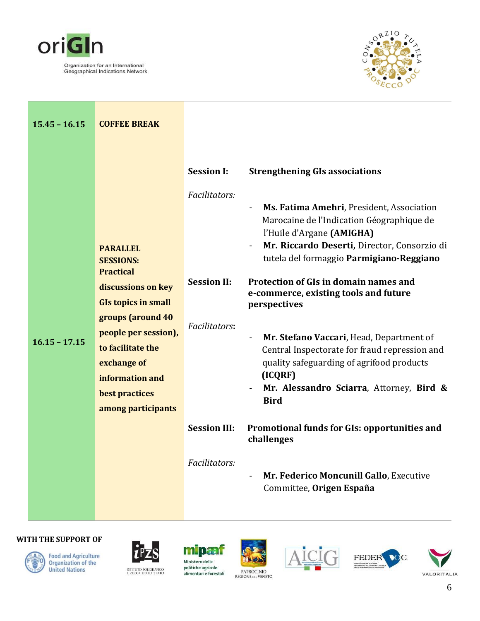



| $15.45 - 16.15$ | <b>COFFEE BREAK</b>                                                                                                                                                                                                                                     |                                                                                                                   |                                                                                                                                                                                                                                                                                                                                                                                                                                                                                                                                                                                                                                                                                                                                                    |
|-----------------|---------------------------------------------------------------------------------------------------------------------------------------------------------------------------------------------------------------------------------------------------------|-------------------------------------------------------------------------------------------------------------------|----------------------------------------------------------------------------------------------------------------------------------------------------------------------------------------------------------------------------------------------------------------------------------------------------------------------------------------------------------------------------------------------------------------------------------------------------------------------------------------------------------------------------------------------------------------------------------------------------------------------------------------------------------------------------------------------------------------------------------------------------|
| $16.15 - 17.15$ | <b>PARALLEL</b><br><b>SESSIONS:</b><br><b>Practical</b><br>discussions on key<br><b>GIs topics in small</b><br>groups (around 40<br>people per session),<br>to facilitate the<br>exchange of<br>information and<br>best practices<br>among participants | <b>Session I:</b><br>Facilitators:<br><b>Session II:</b><br>Facilitators:<br><b>Session III:</b><br>Facilitators: | <b>Strengthening GIs associations</b><br>Ms. Fatima Amehri, President, Association<br>$\overline{\phantom{0}}$<br>Marocaine de l'Indication Géographique de<br>l'Huile d'Argane (AMIGHA)<br>Mr. Riccardo Deserti, Director, Consorzio di<br>tutela del formaggio Parmigiano-Reggiano<br><b>Protection of GIs in domain names and</b><br>e-commerce, existing tools and future<br>perspectives<br>Mr. Stefano Vaccari, Head, Department of<br>Central Inspectorate for fraud repression and<br>quality safeguarding of agrifood products<br>(ICQRF)<br>Mr. Alessandro Sciarra, Attorney, Bird &<br><b>Bird</b><br>Promotional funds for GIs: opportunities and<br>challenges<br>Mr. Federico Moncunill Gallo, Executive<br>Committee, Origen España |



**Food and Agriculture<br>Organization of the<br>United Nations** 



politiche agricole ISTITUTO POLIGRAFICO<br>E ZECCA DELLO STATO



alimentari e forestali